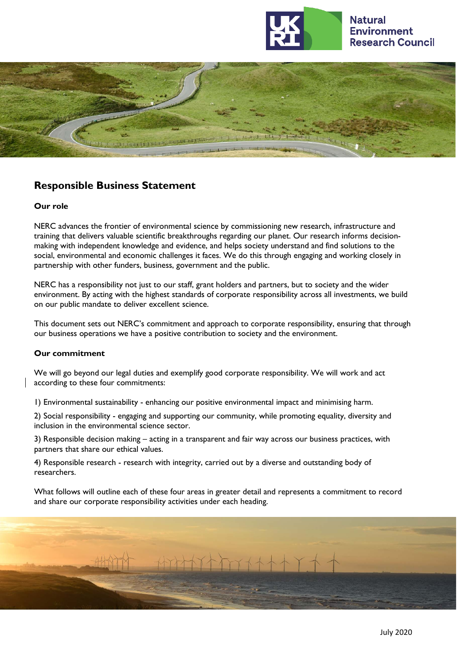



# **Responsible Business Statement**

### **Our role**

NERC advances the frontier of environmental science by commissioning new research, infrastructure and training that delivers valuable scientific breakthroughs regarding our planet. Our research informs decisionmaking with independent knowledge and evidence, and helps society understand and find solutions to the social, environmental and economic challenges it faces. We do this through engaging and working closely in partnership with other funders, business, government and the public.

NERC has a responsibility not just to our staff, grant holders and partners, but to society and the wider environment. By acting with the highest standards of corporate responsibility across all investments, we build on our public mandate to deliver excellent science.

This document sets out NERC's commitment and approach to corporate responsibility, ensuring that through our business operations we have a positive contribution to society and the environment.

### **Our commitment**

We will go beyond our legal duties and exemplify good corporate responsibility. We will work and act according to these four commitments:

1) Environmental sustainability - enhancing our positive environmental impact and minimising harm.

2) Social responsibility - engaging and supporting our community, while promoting equality, diversity and inclusion in the environmental science sector.

3) Responsible decision making – acting in a transparent and fair way across our business practices, with partners that share our ethical values.

4) Responsible research - research with integrity, carried out by a diverse and outstanding body of researchers.

What follows will outline each of these four areas in greater detail and represents a commitment to record and share our corporate responsibility activities under each heading.

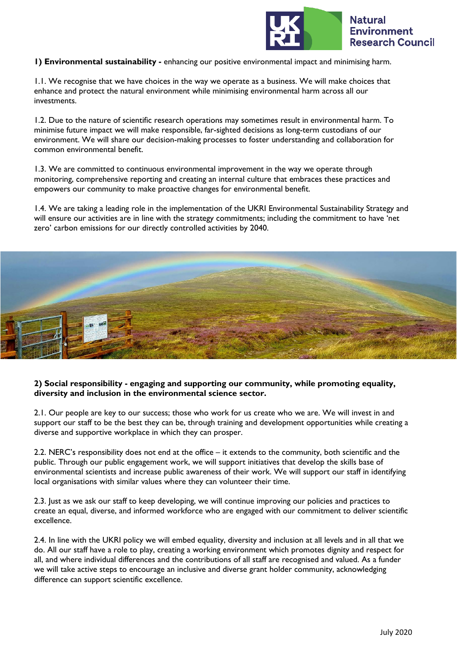

**1) Environmental sustainability -** enhancing our positive environmental impact and minimising harm.

1.1. We recognise that we have choices in the way we operate as a business. We will make choices that enhance and protect the natural environment while minimising environmental harm across all our investments.

1.2. Due to the nature of scientific research operations may sometimes result in environmental harm. To minimise future impact we will make responsible, far-sighted decisions as long-term custodians of our environment. We will share our decision-making processes to foster understanding and collaboration for common environmental benefit.

1.3. We are committed to continuous environmental improvement in the way we operate through monitoring, comprehensive reporting and creating an internal culture that embraces these practices and empowers our community to make proactive changes for environmental benefit.

1.4. We are taking a leading role in the implementation of the UKRI Environmental Sustainability Strategy and will ensure our activities are in line with the strategy commitments; including the commitment to have 'net zero' carbon emissions for our directly controlled activities by 2040.



# **2) Social responsibility - engaging and supporting our community, while promoting equality, diversity and inclusion in the environmental science sector.**

2.1. Our people are key to our success; those who work for us create who we are. We will invest in and support our staff to be the best they can be, through training and development opportunities while creating a diverse and supportive workplace in which they can prosper.

2.2. NERC's responsibility does not end at the office – it extends to the community, both scientific and the public. Through our public engagement work, we will support initiatives that develop the skills base of environmental scientists and increase public awareness of their work. We will support our staff in identifying local organisations with similar values where they can volunteer their time.

2.3. Just as we ask our staff to keep developing, we will continue improving our policies and practices to create an equal, diverse, and informed workforce who are engaged with our commitment to deliver scientific excellence.

2.4. In line with the UKRI policy we will embed equality, diversity and inclusion at all levels and in all that we do. All our staff have a role to play, creating a working environment which promotes dignity and respect for all, and where individual differences and the contributions of all staff are recognised and valued. As a funder we will take active steps to encourage an inclusive and diverse grant holder community, acknowledging difference can support scientific excellence.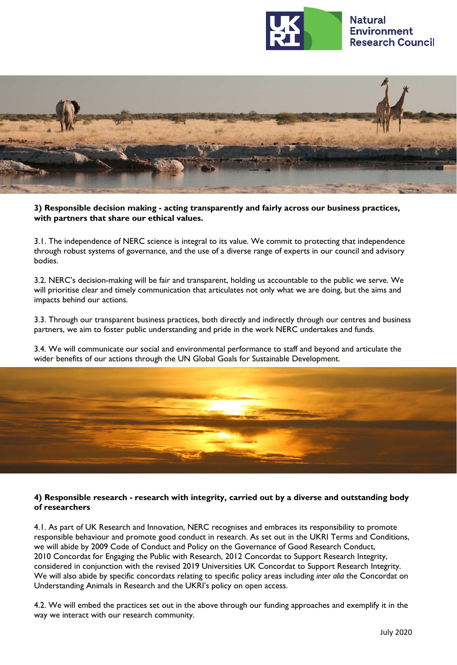



**3) Responsible decision making - acting transparently and fairly across our business practices, with partners that share our ethical values.**

3.1. The independence of NERC science is integral to its value. We commit to protecting that independence through robust systems of governance, and the use of a diverse range of experts in our council and advisory bodies.

3.2. NERC's decision-making will be fair and transparent, holding us accountable to the public we serve. We will prioritise clear and timely communication that articulates not only what we are doing, but the aims and impacts behind our actions.

3.3. Through our transparent business practices, both directly and indirectly through our centres and business partners, we aim to foster public understanding and pride in the work NERC undertakes and funds.

3.4. We will communicate our social and environmental performance to staff and beyond and articulate the wider benefits of our actions through the UN Global Goals for Sustainable Development.



# **4) Responsible research - research with integrity, carried out by a diverse and outstanding body of researchers**

4.1. As part of UK Research and Innovation, NERC recognises and embraces its responsibility to promote responsible behaviour and promote good conduct in research. As set out in the UKRI Terms and Conditions, we will abide by 2009 Code of Conduct and Policy on the Governance of Good Research Conduct, 2010 Concordat for Engaging the Public with Research, 2012 Concordat to Support Research Integrity, considered in conjunction with the revised 2019 Universities UK Concordat to Support Research Integrit[y.](https://www.universitiesuk.ac.uk/policy-and-analysis/reports/Pages/the-concordat-for-research-integrity.aspx) We will also abide by specific concordats relating to specific policy areas including *inter alia* the Concordat on Understanding Animals in Research and the UKRI's policy on open access.

4.2. We will embed the practices set out in the above through our funding approaches and exemplify it in the way we interact with our research community.